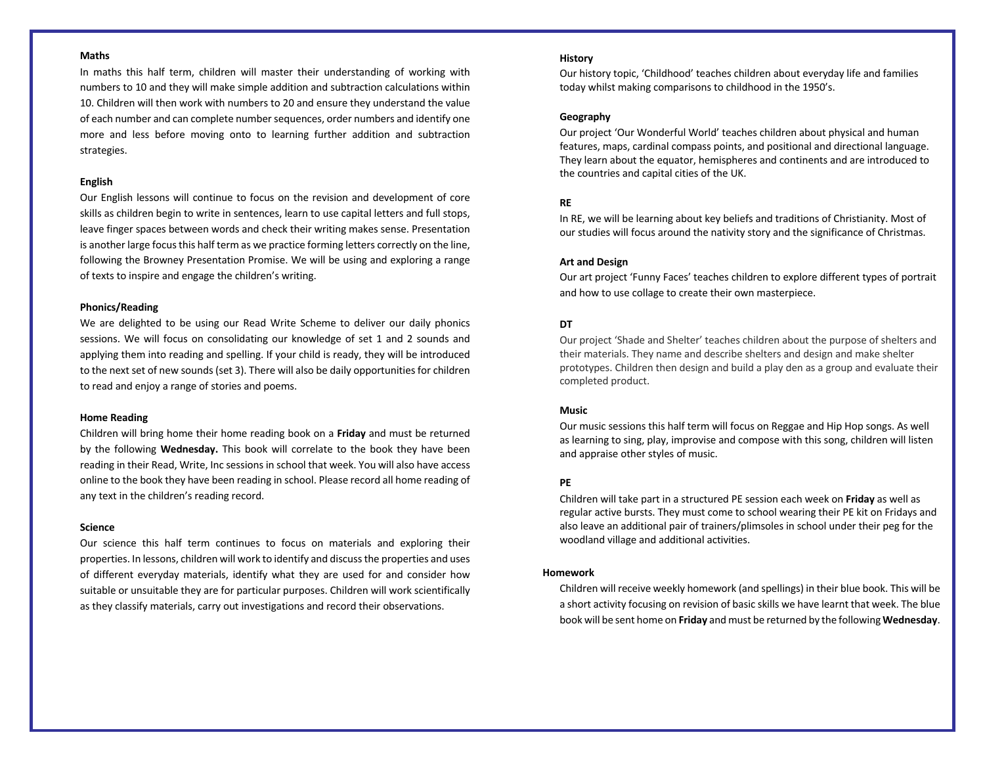## **Maths**

In maths this half term, children will master their understanding of working with numbers to 10 and they will make simple addition and subtraction calculations within 10. Children will then work with numbers to 20 and ensure they understand the value of each number and can complete number sequences, order numbers and identify one more and less before moving onto to learning further addition and subtraction strategies.

#### **English**

Our English lessons will continue to focus on the revision and development of core skills as children begin to write in sentences, learn to use capital letters and full stops, leave finger spaces between words and check their writing makes sense. Presentation is another large focus this half term as we practice forming letters correctly on the line, following the Browney Presentation Promise. We will be using and exploring a range of texts to inspire and engage the children's writing.

#### **Phonics/Reading**

We are delighted to be using our Read Write Scheme to deliver our daily phonics sessions. We will focus on consolidating our knowledge of set 1 and 2 sounds and applying them into reading and spelling. If your child is ready, they will be introduced to the next set of new sounds (set 3). There will also be daily opportunities for children to read and enjoy a range of stories and poems.

#### **Home Reading**

Children will bring home their home reading book on a **Friday** and must be returned by the following **Wednesday.** This book will correlate to the book they have been reading in their Read, Write, Inc sessions in school that week. You will also have access online to the book they have been reading in school. Please record all home reading of any text in the children's reading record.

#### **Science**

Our science this half term continues to focus on materials and exploring their properties. In lessons, children will work to identify and discuss the properties and uses of different everyday materials, identify what they are used for and consider how suitable or unsuitable they are for particular purposes. Children will work scientifically as they classify materials, carry out investigations and record their observations.

### **History**

Our history topic, 'Childhood' teaches children about everyday life and families today whilst making comparisons to childhood in the 1950's.

### **Geography**

Our project 'Our Wonderful World' teaches children about physical and human features, maps, cardinal compass points, and positional and directional language. They learn about the equator, hemispheres and continents and are introduced to the countries and capital cities of the UK.

# **RE**

In RE, we will be learning about key beliefs and traditions of Christianity. Most of our studies will focus around the nativity story and the significance of Christmas.

### **Art and Design**

Our art project 'Funny Faces' teaches children to explore different types of portrait and how to use collage to create their own masterpiece.

# **DT**

Our project 'Shade and Shelter' teaches children about the purpose of shelters and their materials. They name and describe shelters and design and make shelter prototypes. Children then design and build a play den as a group and evaluate their completed product.

## **Music**

Our music sessions this half term will focus on Reggae and Hip Hop songs. As well as learning to sing, play, improvise and compose with this song, children will listen and appraise other styles of music.

# **PE**

Children will take part in a structured PE session each week on **Friday** as well as regular active bursts. They must come to school wearing their PE kit on Fridays and also leave an additional pair of trainers/plimsoles in school under their peg for the woodland village and additional activities.

## **Homework**

Children will receive weekly homework (and spellings) in their blue book. This will be a short activity focusing on revision of basic skills we have learnt that week. The blue book will be sent home on **Friday** and must be returned by the following **Wednesday**.